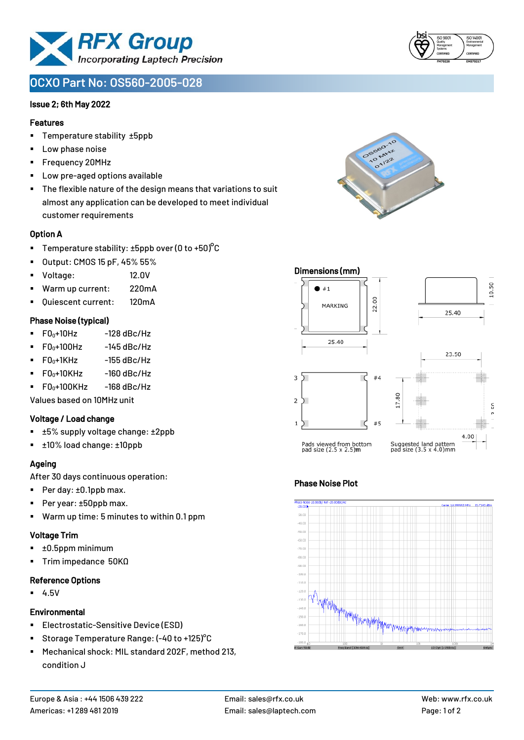

# **OCXO Part No: OS560-2005-028**

### Issue 2; 6th May 2022

## Features

- Temperature stability ±5ppb
- Low phase noise
- Frequency 20MHz
- Low pre-aged options available
- The flexible nature of the design means that variations to suit almost any application can be developed to meet individual customer requirements

# Option A

- **•** Temperature stability:  $\pm 5$ ppb over (0 to  $\pm 50$ )<sup>o</sup>C
- Output: CMOS 15 pF, 45% 55%
- Voltage: 12.0V
- Warm up current: 220mA
- Quiescent current: 120mA

# Phase Noise (typical)

- $\blacksquare$  F0 $_0$ +10Hz -128 dBc/Hz
- $F0_0 + 100$ Hz  $-145$  dBc/Hz
- $\blacksquare$  F0 $\scriptstyle{0+1}$ KHz -155 dBc/Hz
- $\blacksquare$  F0<sub>0</sub>+10KHz -160 dBc/Hz
- $\blacksquare$  F0 $n+100$ KHz  $-168$  dBc/Hz

Values based on 10MHz unit

#### Voltage / Load change

- ±5% supply voltage change: ±2ppb
- ±10% load change: ±10ppb

# Ageing

After 30 days continuous operation:

- Per day: ±0.1ppb max.
- Per year: ±50ppb max.
- Warm up time: 5 minutes to within 0.1 ppm

#### Voltage Trim

- ±0.5ppm minimum
- Trim impedance 50KΩ

#### Reference Options

▪ 4.5V

#### Environmental

- Electrostatic-Sensitive Device (ESD)
- Storage Temperature Range: (-40 to +125)°C
- Mechanical shock: MIL standard 202F, method 213, condition J





# Phase Noise Plot